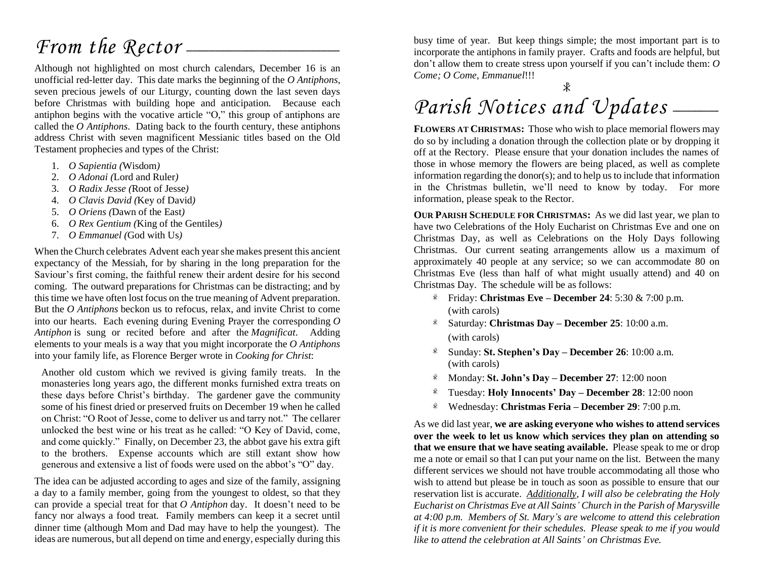## *From the Rector* ——

Although not highlighted on most church calendars, December 16 is an unofficial red-letter day. This date marks the beginning of the *O Antiphons*, seven precious jewels of our Liturgy, counting down the last seven days before Christmas with building hope and anticipation. Because each antiphon begins with the vocative article "O," this group of antiphons are called the *O Antiphons*. Dating back to the fourth century, these antiphons address Christ with seven magnificent Messianic titles based on the Old Testament prophecies and types of the Christ:

- 1. *O Sapientia (*Wisdom*)*
- 2. *O Adonai (*Lord and Ruler*)*
- 3. *O Radix Jesse (*Root of Jesse*)*
- 4. *O Clavis David (*Key of David*)*
- 5. *O Oriens (*Dawn of the East*)*
- 6. *O Rex Gentium (*King of the Gentiles*)*
- 7. *O Emmanuel (*God with Us*)*

When the Church celebrates Advent each yearshe makes present this ancient expectancy of the Messiah, for by sharing in the long preparation for the Saviour's first coming, the faithful renew their ardent desire for his second coming. The outward preparations for Christmas can be distracting; and by this time we have often lost focus on the true meaning of Advent preparation. But the *O Antiphons* beckon us to refocus, relax, and invite Christ to come into our hearts. Each evening during Evening Prayer the corresponding *O Antiphon* is sung or recited before and after the *Magnificat*. Adding elements to your meals is a way that you might incorporate the *O Antiphons* into your family life, as Florence Berger wrote in *Cooking for Christ*:

Another old custom which we revived is giving family treats. In the monasteries long years ago, the different monks furnished extra treats on these days before Christ's birthday. The gardener gave the community some of his finest dried or preserved fruits on December 19 when he called on Christ: "O Root of Jesse, come to deliver us and tarry not." The cellarer unlocked the best wine or his treat as he called: "O Key of David, come, and come quickly." Finally, on December 23, the abbot gave his extra gift to the brothers. Expense accounts which are still extant show how generous and extensive a list of foods were used on the abbot's "O" day.

The idea can be adjusted according to ages and size of the family, assigning a day to a family member, going from the youngest to oldest, so that they can provide a special treat for that *O Antiphon* day. It doesn't need to be fancy nor always a food treat. Family members can keep it a secret until dinner time (although Mom and Dad may have to help the youngest). The ideas are numerous, but all depend on time and energy, especially during this busy time of year. But keep things simple; the most important part is to incorporate the antiphons in family prayer. Crafts and foods are helpful, but don't allow them to create stress upon yourself if you can't include them: *O Come; O Come, Emmanuel*!!!

## Parish Notices and Updates \_\_\_\_\_

**FLOWERS AT CHRISTMAS:** Those who wish to place memorial flowers may do so by including a donation through the collection plate or by dropping it off at the Rectory. Please ensure that your donation includes the names of those in whose memory the flowers are being placed, as well as complete information regarding the donor(s); and to help us to include that information in the Christmas bulletin, we'll need to know by today. For more information, please speak to the Rector.

**OUR PARISH SCHEDULE FOR CHRISTMAS:** As we did last year, we plan to have two Celebrations of the Holy Eucharist on Christmas Eve and one on Christmas Day, as well as Celebrations on the Holy Days following Christmas. Our current seating arrangements allow us a maximum of approximately 40 people at any service; so we can accommodate 80 on Christmas Eve (less than half of what might usually attend) and 40 on Christmas Day. The schedule will be as follows:

- Friday: **Christmas Eve – December 24**: 5:30 & 7:00 p.m. (with carols)
- Saturday: **Christmas Day – December 25**: 10:00 a.m. (with carols)
- Sunday: **St. Stephen's Day – December 26**: 10:00 a.m. (with carols)
- Monday: **St. John's Day – December 27**: 12:00 noon
- Tuesday: **Holy Innocents' Day – December 28**: 12:00 noon  $\ast$
- Wednesday: **Christmas Feria – December 29**: 7:00 p.m.  $\ast$

As we did last year, **we are asking everyone who wishes to attend services over the week to let us know which services they plan on attending so that we ensure that we have seating available.** Please speak to me or drop me a note or email so that I can put your name on the list. Between the many different services we should not have trouble accommodating all those who wish to attend but please be in touch as soon as possible to ensure that our reservation list is accurate. *Additionally, I will also be celebrating the Holy Eucharist on Christmas Eve at All Saints' Church in the Parish of Marysville at 4:00 p.m. Members of St. Mary's are welcome to attend this celebration if it is more convenient for their schedules. Please speak to me if you would like to attend the celebration at All Saints' on Christmas Eve.*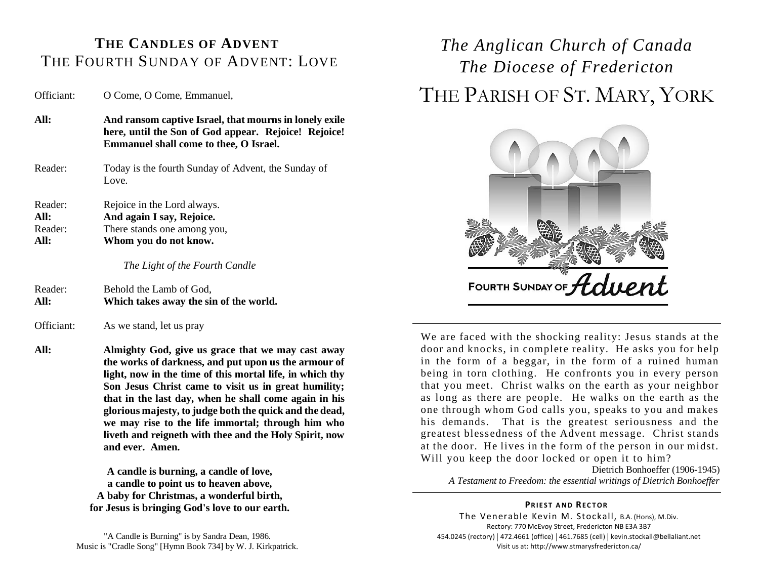#### **THE CANDLES OF ADVENT** THE FOURTH SUNDAY OF ADVENT: LOVE

Officiant: O Come, O Come, Emmanuel,

- **All: And ransom captive Israel, that mourns in lonely exile here, until the Son of God appear. Rejoice! Rejoice! Emmanuel shall come to thee, O Israel.**
- Reader: Today is the fourth Sunday of Advent, the Sunday of Love.

Reader: Rejoice in the Lord always. **All: And again I say, Rejoice.** Reader: There stands one among you, **All: Whom you do not know.**

*The Light of the Fourth Candle*

Reader: Behold the Lamb of God, **All: Which takes away the sin of the world.**

Officiant: As we stand, let us pray

**All: Almighty God, give us grace that we may cast away the works of darkness, and put upon us the armour of light, now in the time of this mortal life, in which thy Son Jesus Christ came to visit us in great humility; that in the last day, when he shall come again in his glorious majesty, to judge both the quick and the dead, we may rise to the life immortal; through him who liveth and reigneth with thee and the Holy Spirit, now and ever. Amen.**

> **A candle is burning, a candle of love, a candle to point us to heaven above, A baby for Christmas, a wonderful birth, for Jesus is bringing God's love to our earth.**

"A Candle is Burning" is by Sandra Dean, 1986. Music is "Cradle Song" [Hymn Book 734] by W. J. Kirkpatrick.

### *The Anglican Church of Canada The Diocese of Fredericton* THE PARISH OF ST. MARY, YORK



We are faced with the shocking reality: Jesus stands at the door and knocks, in complete reality. He asks you for help in the form of a beggar, in the form of a ruined human being in torn clothing. He confronts you in every person that you meet. Christ walks on the earth as your neighbor as long as there are people. He walks on the earth as the one through whom God calls you, speaks to you and makes his demands. That is the greatest seriousness and the greatest blessedness of the Advent message. Christ stands at the door. He lives in the form of the person in our midst. Will you keep the door locked or open it to him?

Dietrich Bonhoeffer (1906-1945) *A Testament to Freedom: the essential writings of Dietrich Bonhoeffer*

#### **PRIEST AND RECTOR**

The Venerable Kevin M. Stockall, B.A. (Hons), M.Div. Rectory: 770 McEvoy Street, Fredericton NB E3A 3B7 454.0245 (rectory) | 472.4661 (office) | 461.7685 (cell) | kevin.stockall@bellaliant.net Visit us at: http://www.stmarysfredericton.ca/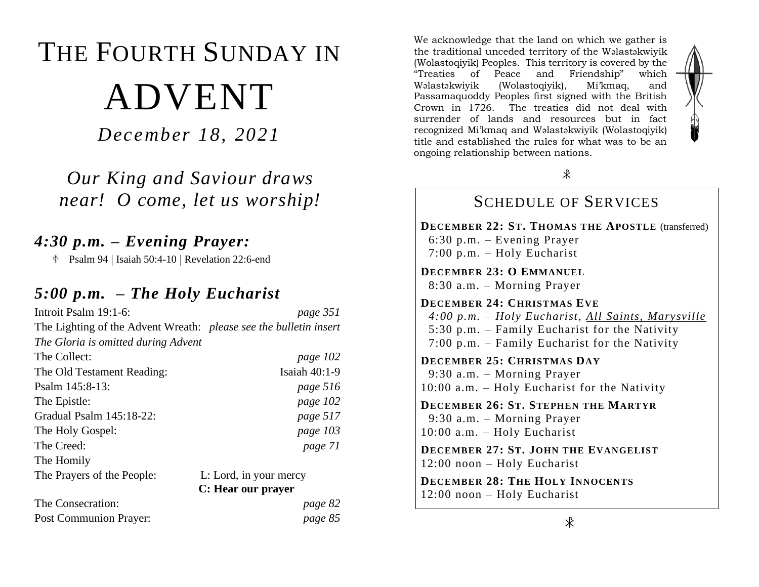# THE FOURTH SUNDAY IN ADVENT

*December 18, 2021*

*Our King and Saviour draws near! O come, let us worship!*

### *4:30 p.m. – Evening Prayer:*

 $\text{\textdegree}$  Psalm 94 | Isaiah 50:4-10 | Revelation 22:6-end

#### *5:00 p.m. – The Holy Eucharist*

| Introit Psalm 19:1-6:                                             | page 351               |
|-------------------------------------------------------------------|------------------------|
| The Lighting of the Advent Wreath: please see the bulletin insert |                        |
| The Gloria is omitted during Advent                               |                        |
| The Collect:                                                      | page 102               |
| The Old Testament Reading:                                        | Isaiah 40:1-9          |
| Psalm 145:8-13:                                                   | page 516               |
| The Epistle:                                                      | page 102               |
| Gradual Psalm 145:18-22:                                          | page 517               |
| The Holy Gospel:                                                  | page 103               |
| The Creed:                                                        | page 71                |
| The Homily                                                        |                        |
| The Prayers of the People:                                        | L: Lord, in your mercy |
|                                                                   | C: Hear our prayer     |
| The Consecration:                                                 | page 82                |
| <b>Post Communion Prayer:</b>                                     | page 85                |

We acknowledge that the land on which we gather is the traditional unceded territory of the Wəlastəkwiyik (Wolastoqiyik) Peoples. This territory is covered by the "Treaties of Peace and Friendship" which Wəlastəkwiyik (Wolastoqiyik), Mi'kmaq, and Passamaquoddy Peoples first signed with the British Crown in 1726. The treaties did not deal with surrender of lands and resources but in fact recognized Mi'kmaq and Wəlastəkwiyik (Wolastoqiyik) title and established the rules for what was to be an ongoing relationship between nations.



#### SCHEDULE OF SERVICES

**DECEMBER 22: ST. THOMAS THE APOSTLE** (transferred) 6:30 p.m. – Evening Prayer 7:00 p.m. – Holy Eucharist

**DECEMBER 23: O EMMANUEL** 8:30 a.m. – Morning Prayer

**DECEMBER 24: CHRISTMAS EVE**  *4:00 p.m. – Holy Eucharist, All Saints, Marysville* 5:30 p.m. – Family Eucharist for the Nativity 7:00 p.m. – Family Eucharist for the Nativity

**DECEMBER 25: CHRISTMAS DAY** 9:30 a.m. – Morning Prayer 10:00 a.m. – Holy Eucharist for the Nativity

**DECEMBER 26: ST. STEPHEN THE MARTYR** 9:30 a.m. – Morning Prayer 10:00 a.m. – Holy Eucharist

**DECEMBER 27: ST. JOHN THE EVANGELIST** 12:00 noon – Holy Eucharist

**DECEMBER 28: THE HOLY INNOCENTS** 12:00 noon – Holy Eucharist